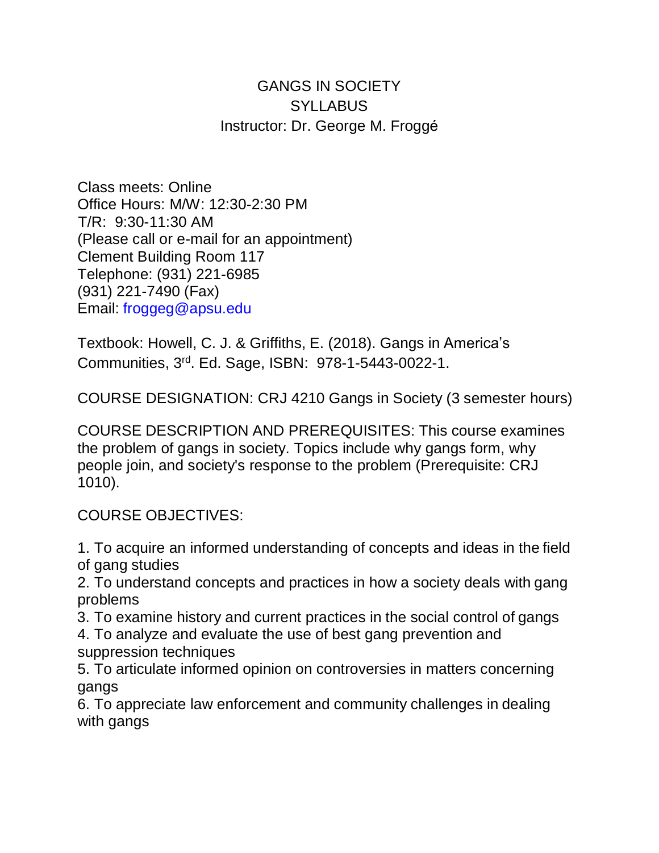## GANGS IN SOCIETY **SYLLABUS** Instructor: Dr. George M. Froggé

Class meets: Online Office Hours: M/W: 12:30-2:30 PM T/R: 9:30-11:30 AM (Please call or e-mail for an appointment) Clement Building Room 117 Telephone: (931) 221-6985 (931) 221-7490 (Fax) Email: [froggeg@apsu.edu](mailto:froggeg@apsu.edu)

Textbook: Howell, C. J. & Griffiths, E. (2018). Gangs in America's Communities, 3<sup>rd</sup>. Ed. Sage, ISBN: 978-1-5443-0022-1.

COURSE DESIGNATION: CRJ 4210 Gangs in Society (3 semester hours)

COURSE DESCRIPTION AND PREREQUISITES: This course examines the problem of gangs in society. Topics include why gangs form, why people join, and society's response to the problem (Prerequisite: CRJ 1010).

COURSE OBJECTIVES:

1. To acquire an informed understanding of concepts and ideas in the field of gang studies

2. To understand concepts and practices in how a society deals with gang problems

3. To examine history and current practices in the social control of gangs

4. To analyze and evaluate the use of best gang prevention and suppression techniques

5. To articulate informed opinion on controversies in matters concerning gangs

6. To appreciate law enforcement and community challenges in dealing with gangs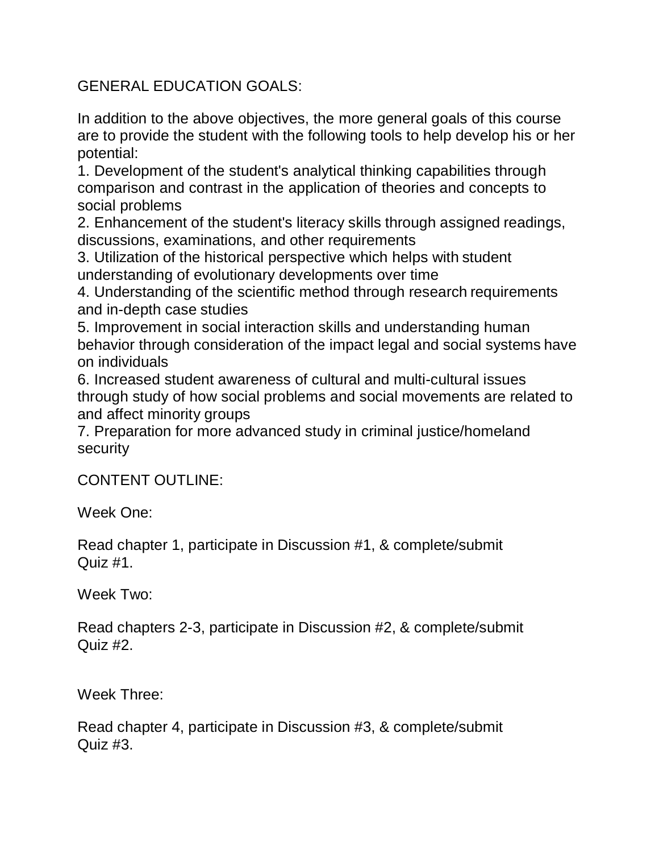GENERAL EDUCATION GOALS:

In addition to the above objectives, the more general goals of this course are to provide the student with the following tools to help develop his or her potential:

1. Development of the student's analytical thinking capabilities through comparison and contrast in the application of theories and concepts to social problems

2. Enhancement of the student's literacy skills through assigned readings, discussions, examinations, and other requirements

3. Utilization of the historical perspective which helps with student understanding of evolutionary developments over time

4. Understanding of the scientific method through research requirements and in-depth case studies

5. Improvement in social interaction skills and understanding human behavior through consideration of the impact legal and social systems have on individuals

6. Increased student awareness of cultural and multi-cultural issues through study of how social problems and social movements are related to and affect minority groups

7. Preparation for more advanced study in criminal justice/homeland security

CONTENT OUTLINE:

Week One:

Read chapter 1, participate in Discussion #1, & complete/submit Quiz #1.

Week Two:

Read chapters 2-3, participate in Discussion #2, & complete/submit Quiz #2.

Week Three:

Read chapter 4, participate in Discussion #3, & complete/submit Quiz #3.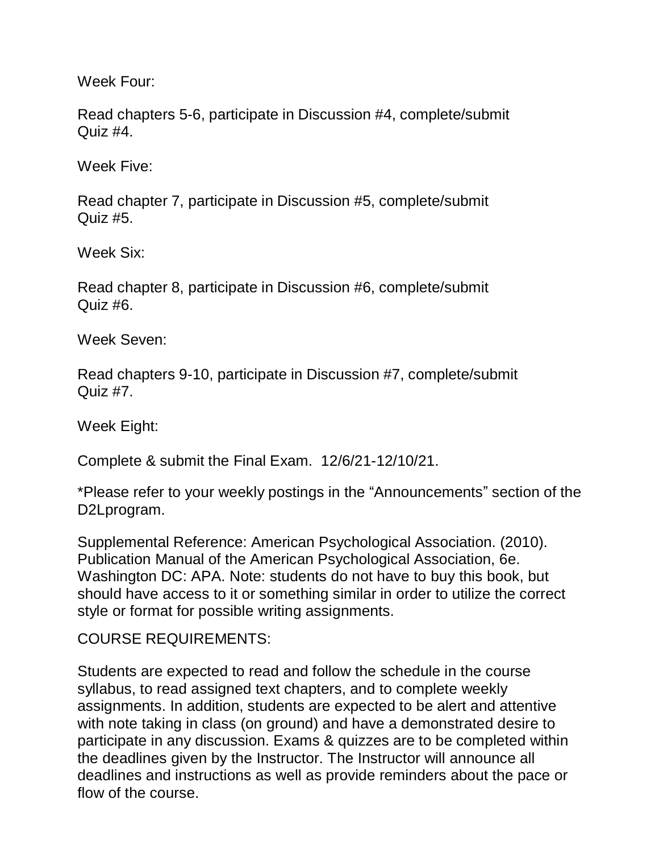Week Four:

Read chapters 5-6, participate in Discussion #4, complete/submit Quiz  $#4$ .

Week Five:

Read chapter 7, participate in Discussion #5, complete/submit Quiz #5.

Week Six:

Read chapter 8, participate in Discussion #6, complete/submit Quiz #6.

Week Seven:

Read chapters 9-10, participate in Discussion #7, complete/submit Quiz #7.

Week Eight:

Complete & submit the Final Exam. 12/6/21-12/10/21.

\*Please refer to your weekly postings in the "Announcements" section of the D2Lprogram.

Supplemental Reference: American Psychological Association. (2010). Publication Manual of the American Psychological Association, 6e. Washington DC: APA. Note: students do not have to buy this book, but should have access to it or something similar in order to utilize the correct style or format for possible writing assignments.

COURSE REQUIREMENTS:

Students are expected to read and follow the schedule in the course syllabus, to read assigned text chapters, and to complete weekly assignments. In addition, students are expected to be alert and attentive with note taking in class (on ground) and have a demonstrated desire to participate in any discussion. Exams & quizzes are to be completed within the deadlines given by the Instructor. The Instructor will announce all deadlines and instructions as well as provide reminders about the pace or flow of the course.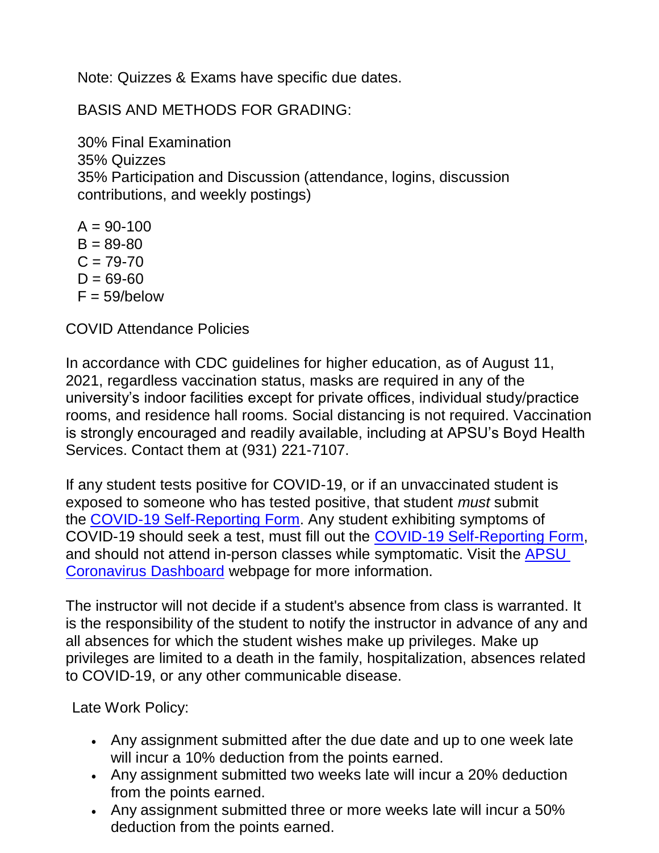Note: Quizzes & Exams have specific due dates.

BASIS AND METHODS FOR GRADING:

30% Final Examination 35% Quizzes 35% Participation and Discussion (attendance, logins, discussion contributions, and weekly postings)

 $A = 90 - 100$  $B = 89 - 80$  $C = 79 - 70$  $D = 69 - 60$  $F = 59/below$ 

COVID Attendance Policies

In accordance with CDC guidelines for higher education, as of August 11, 2021, regardless vaccination status, masks are required in any of the university's indoor facilities except for private offices, individual study/practice rooms, and residence hall rooms. Social distancing is not required. Vaccination is strongly encouraged and readily available, including at APSU's Boyd Health Services. Contact them at (931) 221-7107.

If any student tests positive for COVID-19, or if an unvaccinated student is exposed to someone who has tested positive, that student *must* submit the [COVID-19 Self-Reporting Form.](https://cm.maxient.com/reportingform.php?AustinPeayStateUniv&layout_id=19) Any student exhibiting symptoms of COVID-19 should seek a test, must fill out the [COVID-19 Self-Reporting Form,](https://cm.maxient.com/reportingform.php?AustinPeayStateUniv&layout_id=19) and should not attend in-person classes while symptomatic. Visit the [APSU](https://apsu.edu/coronavirus/index.php)  [Coronavirus Dashboard](https://apsu.edu/coronavirus/index.php) webpage for more information.

The instructor will not decide if a student's absence from class is warranted. It is the responsibility of the student to notify the instructor in advance of any and all absences for which the student wishes make up privileges. Make up privileges are limited to a death in the family, hospitalization, absences related to COVID-19, or any other communicable disease.

Late Work Policy:

- Any assignment submitted after the due date and up to one week late will incur a 10% deduction from the points earned.
- Any assignment submitted two weeks late will incur a 20% deduction from the points earned.
- Any assignment submitted three or more weeks late will incur a 50% deduction from the points earned.